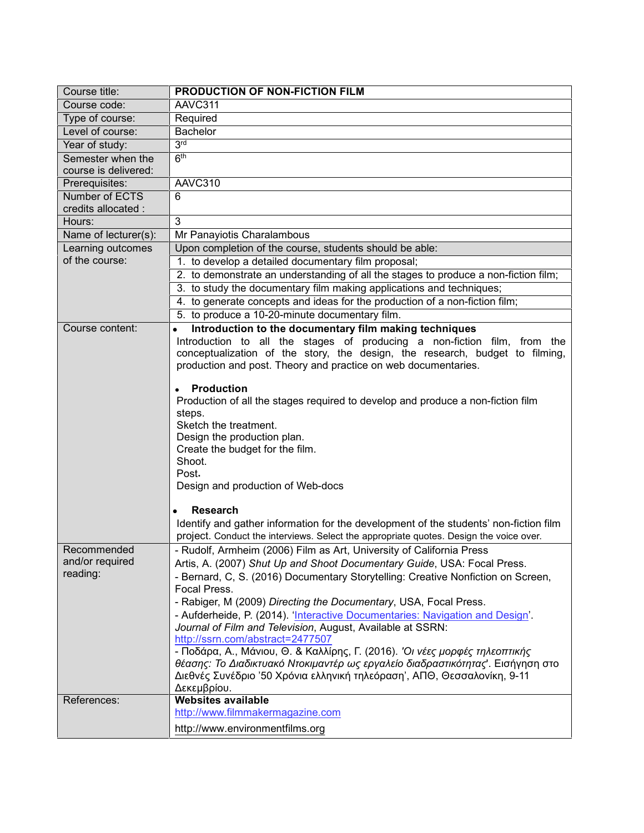| Course title:                                                                                                       | PRODUCTION OF NON-FICTION FILM                                                                                                                                                                                                                                                                                                                                                                                                                                                                                                                                                                                                                                                                                                                                                                                                                                                                                                                                                                                                                                                                                                                                                                                                                                                                                                                                                                                                                                                                                                                                                                                                                                                                                                                                                                                                                               |
|---------------------------------------------------------------------------------------------------------------------|--------------------------------------------------------------------------------------------------------------------------------------------------------------------------------------------------------------------------------------------------------------------------------------------------------------------------------------------------------------------------------------------------------------------------------------------------------------------------------------------------------------------------------------------------------------------------------------------------------------------------------------------------------------------------------------------------------------------------------------------------------------------------------------------------------------------------------------------------------------------------------------------------------------------------------------------------------------------------------------------------------------------------------------------------------------------------------------------------------------------------------------------------------------------------------------------------------------------------------------------------------------------------------------------------------------------------------------------------------------------------------------------------------------------------------------------------------------------------------------------------------------------------------------------------------------------------------------------------------------------------------------------------------------------------------------------------------------------------------------------------------------------------------------------------------------------------------------------------------------|
| Course code:                                                                                                        | AAVC311                                                                                                                                                                                                                                                                                                                                                                                                                                                                                                                                                                                                                                                                                                                                                                                                                                                                                                                                                                                                                                                                                                                                                                                                                                                                                                                                                                                                                                                                                                                                                                                                                                                                                                                                                                                                                                                      |
| Type of course:                                                                                                     | Required                                                                                                                                                                                                                                                                                                                                                                                                                                                                                                                                                                                                                                                                                                                                                                                                                                                                                                                                                                                                                                                                                                                                                                                                                                                                                                                                                                                                                                                                                                                                                                                                                                                                                                                                                                                                                                                     |
| Level of course:                                                                                                    | <b>Bachelor</b>                                                                                                                                                                                                                                                                                                                                                                                                                                                                                                                                                                                                                                                                                                                                                                                                                                                                                                                                                                                                                                                                                                                                                                                                                                                                                                                                                                                                                                                                                                                                                                                                                                                                                                                                                                                                                                              |
| Year of study:                                                                                                      | 3 <sub>rd</sub>                                                                                                                                                                                                                                                                                                                                                                                                                                                                                                                                                                                                                                                                                                                                                                                                                                                                                                                                                                                                                                                                                                                                                                                                                                                                                                                                                                                                                                                                                                                                                                                                                                                                                                                                                                                                                                              |
| Semester when the                                                                                                   | 6 <sup>th</sup>                                                                                                                                                                                                                                                                                                                                                                                                                                                                                                                                                                                                                                                                                                                                                                                                                                                                                                                                                                                                                                                                                                                                                                                                                                                                                                                                                                                                                                                                                                                                                                                                                                                                                                                                                                                                                                              |
| course is delivered:                                                                                                |                                                                                                                                                                                                                                                                                                                                                                                                                                                                                                                                                                                                                                                                                                                                                                                                                                                                                                                                                                                                                                                                                                                                                                                                                                                                                                                                                                                                                                                                                                                                                                                                                                                                                                                                                                                                                                                              |
| Prerequisites:                                                                                                      | AAVC310                                                                                                                                                                                                                                                                                                                                                                                                                                                                                                                                                                                                                                                                                                                                                                                                                                                                                                                                                                                                                                                                                                                                                                                                                                                                                                                                                                                                                                                                                                                                                                                                                                                                                                                                                                                                                                                      |
| Number of ECTS                                                                                                      | $\overline{6}$                                                                                                                                                                                                                                                                                                                                                                                                                                                                                                                                                                                                                                                                                                                                                                                                                                                                                                                                                                                                                                                                                                                                                                                                                                                                                                                                                                                                                                                                                                                                                                                                                                                                                                                                                                                                                                               |
| credits allocated :                                                                                                 |                                                                                                                                                                                                                                                                                                                                                                                                                                                                                                                                                                                                                                                                                                                                                                                                                                                                                                                                                                                                                                                                                                                                                                                                                                                                                                                                                                                                                                                                                                                                                                                                                                                                                                                                                                                                                                                              |
|                                                                                                                     |                                                                                                                                                                                                                                                                                                                                                                                                                                                                                                                                                                                                                                                                                                                                                                                                                                                                                                                                                                                                                                                                                                                                                                                                                                                                                                                                                                                                                                                                                                                                                                                                                                                                                                                                                                                                                                                              |
|                                                                                                                     |                                                                                                                                                                                                                                                                                                                                                                                                                                                                                                                                                                                                                                                                                                                                                                                                                                                                                                                                                                                                                                                                                                                                                                                                                                                                                                                                                                                                                                                                                                                                                                                                                                                                                                                                                                                                                                                              |
|                                                                                                                     |                                                                                                                                                                                                                                                                                                                                                                                                                                                                                                                                                                                                                                                                                                                                                                                                                                                                                                                                                                                                                                                                                                                                                                                                                                                                                                                                                                                                                                                                                                                                                                                                                                                                                                                                                                                                                                                              |
|                                                                                                                     |                                                                                                                                                                                                                                                                                                                                                                                                                                                                                                                                                                                                                                                                                                                                                                                                                                                                                                                                                                                                                                                                                                                                                                                                                                                                                                                                                                                                                                                                                                                                                                                                                                                                                                                                                                                                                                                              |
|                                                                                                                     |                                                                                                                                                                                                                                                                                                                                                                                                                                                                                                                                                                                                                                                                                                                                                                                                                                                                                                                                                                                                                                                                                                                                                                                                                                                                                                                                                                                                                                                                                                                                                                                                                                                                                                                                                                                                                                                              |
|                                                                                                                     |                                                                                                                                                                                                                                                                                                                                                                                                                                                                                                                                                                                                                                                                                                                                                                                                                                                                                                                                                                                                                                                                                                                                                                                                                                                                                                                                                                                                                                                                                                                                                                                                                                                                                                                                                                                                                                                              |
|                                                                                                                     |                                                                                                                                                                                                                                                                                                                                                                                                                                                                                                                                                                                                                                                                                                                                                                                                                                                                                                                                                                                                                                                                                                                                                                                                                                                                                                                                                                                                                                                                                                                                                                                                                                                                                                                                                                                                                                                              |
|                                                                                                                     |                                                                                                                                                                                                                                                                                                                                                                                                                                                                                                                                                                                                                                                                                                                                                                                                                                                                                                                                                                                                                                                                                                                                                                                                                                                                                                                                                                                                                                                                                                                                                                                                                                                                                                                                                                                                                                                              |
| Course content:                                                                                                     | Introduction to the documentary film making techniques                                                                                                                                                                                                                                                                                                                                                                                                                                                                                                                                                                                                                                                                                                                                                                                                                                                                                                                                                                                                                                                                                                                                                                                                                                                                                                                                                                                                                                                                                                                                                                                                                                                                                                                                                                                                       |
|                                                                                                                     |                                                                                                                                                                                                                                                                                                                                                                                                                                                                                                                                                                                                                                                                                                                                                                                                                                                                                                                                                                                                                                                                                                                                                                                                                                                                                                                                                                                                                                                                                                                                                                                                                                                                                                                                                                                                                                                              |
|                                                                                                                     |                                                                                                                                                                                                                                                                                                                                                                                                                                                                                                                                                                                                                                                                                                                                                                                                                                                                                                                                                                                                                                                                                                                                                                                                                                                                                                                                                                                                                                                                                                                                                                                                                                                                                                                                                                                                                                                              |
|                                                                                                                     |                                                                                                                                                                                                                                                                                                                                                                                                                                                                                                                                                                                                                                                                                                                                                                                                                                                                                                                                                                                                                                                                                                                                                                                                                                                                                                                                                                                                                                                                                                                                                                                                                                                                                                                                                                                                                                                              |
|                                                                                                                     |                                                                                                                                                                                                                                                                                                                                                                                                                                                                                                                                                                                                                                                                                                                                                                                                                                                                                                                                                                                                                                                                                                                                                                                                                                                                                                                                                                                                                                                                                                                                                                                                                                                                                                                                                                                                                                                              |
|                                                                                                                     |                                                                                                                                                                                                                                                                                                                                                                                                                                                                                                                                                                                                                                                                                                                                                                                                                                                                                                                                                                                                                                                                                                                                                                                                                                                                                                                                                                                                                                                                                                                                                                                                                                                                                                                                                                                                                                                              |
|                                                                                                                     |                                                                                                                                                                                                                                                                                                                                                                                                                                                                                                                                                                                                                                                                                                                                                                                                                                                                                                                                                                                                                                                                                                                                                                                                                                                                                                                                                                                                                                                                                                                                                                                                                                                                                                                                                                                                                                                              |
|                                                                                                                     |                                                                                                                                                                                                                                                                                                                                                                                                                                                                                                                                                                                                                                                                                                                                                                                                                                                                                                                                                                                                                                                                                                                                                                                                                                                                                                                                                                                                                                                                                                                                                                                                                                                                                                                                                                                                                                                              |
|                                                                                                                     |                                                                                                                                                                                                                                                                                                                                                                                                                                                                                                                                                                                                                                                                                                                                                                                                                                                                                                                                                                                                                                                                                                                                                                                                                                                                                                                                                                                                                                                                                                                                                                                                                                                                                                                                                                                                                                                              |
|                                                                                                                     |                                                                                                                                                                                                                                                                                                                                                                                                                                                                                                                                                                                                                                                                                                                                                                                                                                                                                                                                                                                                                                                                                                                                                                                                                                                                                                                                                                                                                                                                                                                                                                                                                                                                                                                                                                                                                                                              |
|                                                                                                                     | Shoot.                                                                                                                                                                                                                                                                                                                                                                                                                                                                                                                                                                                                                                                                                                                                                                                                                                                                                                                                                                                                                                                                                                                                                                                                                                                                                                                                                                                                                                                                                                                                                                                                                                                                                                                                                                                                                                                       |
|                                                                                                                     | Post.                                                                                                                                                                                                                                                                                                                                                                                                                                                                                                                                                                                                                                                                                                                                                                                                                                                                                                                                                                                                                                                                                                                                                                                                                                                                                                                                                                                                                                                                                                                                                                                                                                                                                                                                                                                                                                                        |
|                                                                                                                     | Design and production of Web-docs                                                                                                                                                                                                                                                                                                                                                                                                                                                                                                                                                                                                                                                                                                                                                                                                                                                                                                                                                                                                                                                                                                                                                                                                                                                                                                                                                                                                                                                                                                                                                                                                                                                                                                                                                                                                                            |
|                                                                                                                     |                                                                                                                                                                                                                                                                                                                                                                                                                                                                                                                                                                                                                                                                                                                                                                                                                                                                                                                                                                                                                                                                                                                                                                                                                                                                                                                                                                                                                                                                                                                                                                                                                                                                                                                                                                                                                                                              |
|                                                                                                                     |                                                                                                                                                                                                                                                                                                                                                                                                                                                                                                                                                                                                                                                                                                                                                                                                                                                                                                                                                                                                                                                                                                                                                                                                                                                                                                                                                                                                                                                                                                                                                                                                                                                                                                                                                                                                                                                              |
|                                                                                                                     |                                                                                                                                                                                                                                                                                                                                                                                                                                                                                                                                                                                                                                                                                                                                                                                                                                                                                                                                                                                                                                                                                                                                                                                                                                                                                                                                                                                                                                                                                                                                                                                                                                                                                                                                                                                                                                                              |
|                                                                                                                     |                                                                                                                                                                                                                                                                                                                                                                                                                                                                                                                                                                                                                                                                                                                                                                                                                                                                                                                                                                                                                                                                                                                                                                                                                                                                                                                                                                                                                                                                                                                                                                                                                                                                                                                                                                                                                                                              |
|                                                                                                                     |                                                                                                                                                                                                                                                                                                                                                                                                                                                                                                                                                                                                                                                                                                                                                                                                                                                                                                                                                                                                                                                                                                                                                                                                                                                                                                                                                                                                                                                                                                                                                                                                                                                                                                                                                                                                                                                              |
|                                                                                                                     |                                                                                                                                                                                                                                                                                                                                                                                                                                                                                                                                                                                                                                                                                                                                                                                                                                                                                                                                                                                                                                                                                                                                                                                                                                                                                                                                                                                                                                                                                                                                                                                                                                                                                                                                                                                                                                                              |
|                                                                                                                     |                                                                                                                                                                                                                                                                                                                                                                                                                                                                                                                                                                                                                                                                                                                                                                                                                                                                                                                                                                                                                                                                                                                                                                                                                                                                                                                                                                                                                                                                                                                                                                                                                                                                                                                                                                                                                                                              |
|                                                                                                                     |                                                                                                                                                                                                                                                                                                                                                                                                                                                                                                                                                                                                                                                                                                                                                                                                                                                                                                                                                                                                                                                                                                                                                                                                                                                                                                                                                                                                                                                                                                                                                                                                                                                                                                                                                                                                                                                              |
|                                                                                                                     |                                                                                                                                                                                                                                                                                                                                                                                                                                                                                                                                                                                                                                                                                                                                                                                                                                                                                                                                                                                                                                                                                                                                                                                                                                                                                                                                                                                                                                                                                                                                                                                                                                                                                                                                                                                                                                                              |
|                                                                                                                     |                                                                                                                                                                                                                                                                                                                                                                                                                                                                                                                                                                                                                                                                                                                                                                                                                                                                                                                                                                                                                                                                                                                                                                                                                                                                                                                                                                                                                                                                                                                                                                                                                                                                                                                                                                                                                                                              |
|                                                                                                                     |                                                                                                                                                                                                                                                                                                                                                                                                                                                                                                                                                                                                                                                                                                                                                                                                                                                                                                                                                                                                                                                                                                                                                                                                                                                                                                                                                                                                                                                                                                                                                                                                                                                                                                                                                                                                                                                              |
|                                                                                                                     |                                                                                                                                                                                                                                                                                                                                                                                                                                                                                                                                                                                                                                                                                                                                                                                                                                                                                                                                                                                                                                                                                                                                                                                                                                                                                                                                                                                                                                                                                                                                                                                                                                                                                                                                                                                                                                                              |
|                                                                                                                     |                                                                                                                                                                                                                                                                                                                                                                                                                                                                                                                                                                                                                                                                                                                                                                                                                                                                                                                                                                                                                                                                                                                                                                                                                                                                                                                                                                                                                                                                                                                                                                                                                                                                                                                                                                                                                                                              |
|                                                                                                                     |                                                                                                                                                                                                                                                                                                                                                                                                                                                                                                                                                                                                                                                                                                                                                                                                                                                                                                                                                                                                                                                                                                                                                                                                                                                                                                                                                                                                                                                                                                                                                                                                                                                                                                                                                                                                                                                              |
|                                                                                                                     | Δεκεμβρίου.                                                                                                                                                                                                                                                                                                                                                                                                                                                                                                                                                                                                                                                                                                                                                                                                                                                                                                                                                                                                                                                                                                                                                                                                                                                                                                                                                                                                                                                                                                                                                                                                                                                                                                                                                                                                                                                  |
| References:                                                                                                         | <b>Websites available</b>                                                                                                                                                                                                                                                                                                                                                                                                                                                                                                                                                                                                                                                                                                                                                                                                                                                                                                                                                                                                                                                                                                                                                                                                                                                                                                                                                                                                                                                                                                                                                                                                                                                                                                                                                                                                                                    |
|                                                                                                                     | http://www.filmmakermagazine.com                                                                                                                                                                                                                                                                                                                                                                                                                                                                                                                                                                                                                                                                                                                                                                                                                                                                                                                                                                                                                                                                                                                                                                                                                                                                                                                                                                                                                                                                                                                                                                                                                                                                                                                                                                                                                             |
|                                                                                                                     | http://www.environmentfilms.org                                                                                                                                                                                                                                                                                                                                                                                                                                                                                                                                                                                                                                                                                                                                                                                                                                                                                                                                                                                                                                                                                                                                                                                                                                                                                                                                                                                                                                                                                                                                                                                                                                                                                                                                                                                                                              |
| Hours:<br>Name of lecturer(s):<br>Learning outcomes<br>of the course:<br>Recommended<br>and/or required<br>reading: | 3<br>Mr Panayiotis Charalambous<br>Upon completion of the course, students should be able:<br>1. to develop a detailed documentary film proposal;<br>2. to demonstrate an understanding of all the stages to produce a non-fiction film;<br>3. to study the documentary film making applications and techniques;<br>4. to generate concepts and ideas for the production of a non-fiction film;<br>5. to produce a 10-20-minute documentary film.<br>Introduction to all the stages of producing a non-fiction film, from the<br>conceptualization of the story, the design, the research, budget to filming,<br>production and post. Theory and practice on web documentaries.<br><b>Production</b><br>Production of all the stages required to develop and produce a non-fiction film<br>steps.<br>Sketch the treatment.<br>Design the production plan.<br>Create the budget for the film.<br><b>Research</b><br>Identify and gather information for the development of the students' non-fiction film<br>project. Conduct the interviews. Select the appropriate quotes. Design the voice over.<br>- Rudolf, Armheim (2006) Film as Art, University of California Press<br>Artis, A. (2007) Shut Up and Shoot Documentary Guide, USA: Focal Press.<br>- Bernard, C, S. (2016) Documentary Storytelling: Creative Nonfiction on Screen,<br>Focal Press.<br>- Rabiger, M (2009) Directing the Documentary, USA, Focal Press.<br>- Aufderheide, P. (2014). 'Interactive Documentaries: Navigation and Design'.<br>Journal of Film and Television, August, Available at SSRN:<br>http://ssrn.com/abstract=2477507<br>- Ποδάρα, Α., Μάνιου, Θ. & Καλλίρης, Γ. (2016). 'Οι νέες μορφές τηλεοπτικής<br>θέασης: Το Διαδικτυακό Ντοκιμαντέρ ως εργαλείο διαδραστικότητας'. Εισήγηση στο<br>Διεθνές Συνέδριο '50 Χρόνια ελληνική τηλεόραση', ΑΠΘ, Θεσσαλονίκη, 9-11 |